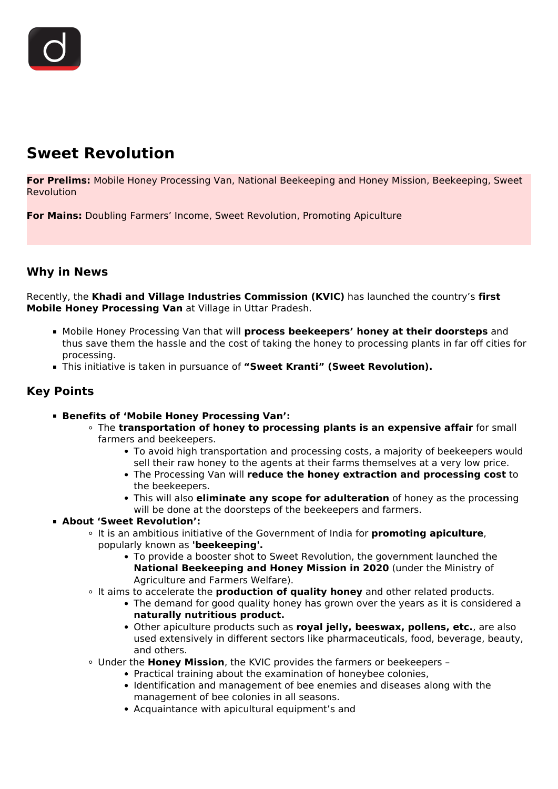# **Sweet Revolution**

**For Prelims:** Mobile Honey Processing Van, National Beekeeping and Honey Mission, Beekeeping, Sweet **Revolution** 

**For Mains:** Doubling Farmers' Income, Sweet Revolution, Promoting Apiculture

### **Why in News**

Recently, the **Khadi and Village Industries Commission (KVIC)** has launched the country's **first Mobile Honey Processing Van** at Village in Uttar Pradesh.

- Mobile Honey Processing Van that will **process beekeepers' honey at their doorsteps** and thus save them the hassle and the cost of taking the honey to processing plants in far off cities for processing.
- This initiative is taken in pursuance of **"Sweet Kranti" (Sweet Revolution).**

## **Key Points**

- **Benefits of 'Mobile Honey Processing Van':**
	- The **transportation of honey to processing plants is an expensive affair** for small farmers and beekeepers.
		- To avoid high transportation and processing costs, a majority of beekeepers would sell their raw honey to the agents at their farms themselves at a very low price.
		- The Processing Van will **reduce the honey extraction and processing cost** to the beekeepers.
		- This will also **eliminate any scope for adulteration** of honey as the processing will be done at the doorsteps of the beekeepers and farmers.

#### **About 'Sweet Revolution':**

- It is an ambitious initiative of the Government of India for **promoting apiculture**, popularly known as **'beekeeping'.**
	- To provide a booster shot to Sweet Revolution, the government launched the **National Beekeeping and Honey Mission in 2020** (under the Ministry of Agriculture and Farmers Welfare).
- It aims to accelerate the **production of quality honey** and other related products.
	- The demand for good quality honey has grown over the years as it is considered a **naturally nutritious product.**
	- Other apiculture products such as **royal jelly, beeswax, pollens, etc.**, are also used extensively in different sectors like pharmaceuticals, food, beverage, beauty, and others.
- Under the **Honey Mission**, the KVIC provides the farmers or beekeepers
	- Practical training about the examination of honeybee colonies,
	- Identification and management of bee enemies and diseases along with the management of bee colonies in all seasons.
	- Acquaintance with apicultural equipment's and